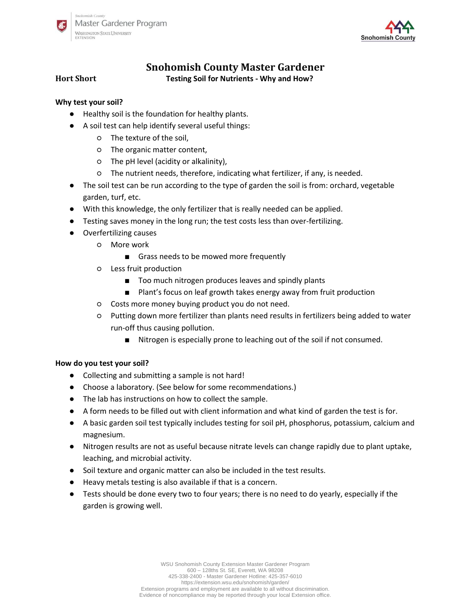



# **Snohomish County Master Gardener**

# **Hort Short Testing Soil for Nutrients - Why and How?**

# **Why test your soil?**

- Healthy soil is the foundation for healthy plants.
- A soil test can help identify several useful things:
	- The texture of the soil,
	- The organic matter content,
	- The pH level (acidity or alkalinity),
	- The nutrient needs, therefore, indicating what fertilizer, if any, is needed.
- The soil test can be run according to the type of garden the soil is from: orchard, vegetable garden, turf, etc.
- With this knowledge, the only fertilizer that is really needed can be applied.
- Testing saves money in the long run; the test costs less than over-fertilizing.
	- Overfertilizing causes
		- More work
			- Grass needs to be mowed more frequently
		- Less fruit production
			- Too much nitrogen produces leaves and spindly plants
			- Plant's focus on leaf growth takes energy away from fruit production
		- Costs more money buying product you do not need.
		- Putting down more fertilizer than plants need results in fertilizers being added to water run-off thus causing pollution.
			- Nitrogen is especially prone to leaching out of the soil if not consumed.

# **How do you test your soil?**

- Collecting and submitting a sample is not hard!
- Choose a laboratory. (See below for some recommendations.)
- The lab has instructions on how to collect the sample.
- A form needs to be filled out with client information and what kind of garden the test is for.
- A basic garden soil test typically includes testing for soil pH, phosphorus, potassium, calcium and magnesium.
- Nitrogen results are not as useful because nitrate levels can change rapidly due to plant uptake, leaching, and microbial activity.
- Soil texture and organic matter can also be included in the test results.
- Heavy metals testing is also available if that is a concern.
- Tests should be done every two to four years; there is no need to do yearly, especially if the garden is growing well.